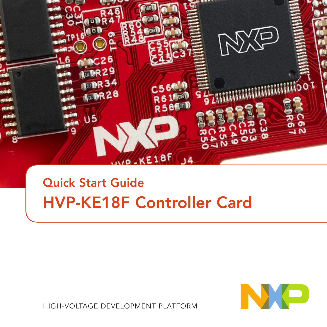

### Quick Start Guide HVP-KE18F Controller Card



HIGH-VOLTAGE DEVELOPMENT PLATFORM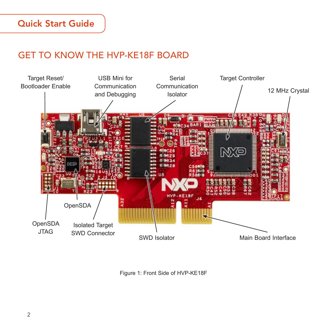#### GET TO KNOW THE HVP-KE18F BOARD



Figure 1: Front Side of HVP-KE18F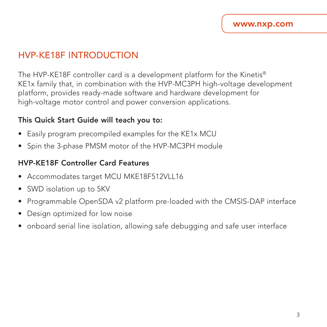#### HVP-KE18F INTRODUCTION

The HVP-KE18F controller card is a development platform for the Kinetis® KE1x family that, in combination with the HVP-MC3PH high-voltage development platform, provides ready-made software and hardware development for high-voltage motor control and power conversion applications.

#### This Quick Start Guide will teach you to:

- Easily program precompiled examples for the KE1x MCU
- Spin the 3-phase PMSM motor of the HVP-MC3PH module

#### HVP-KE18F Controller Card Features

- Accommodates target MCU MKE18F512VLL16
- SWD isolation up to 5KV
- Programmable OpenSDA v2 platform pre-loaded with the CMSIS-DAP interface
- Design optimized for low noise
- onboard serial line isolation, allowing safe debugging and safe user interface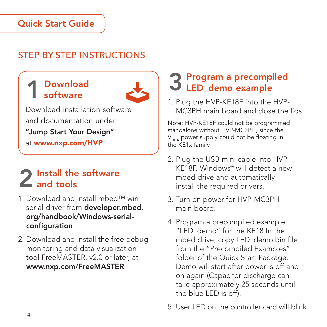#### Quick Start Guide

### STEP-RY-STEP INSTRUCTIONS

#### **Download** software



Download installation software and documentation under "Jump Start Your Design" at www.nxp.com/HVP.

# 2 Install the software<br>2 and tools

- 1. Download and install mbed™ win serial driver from developer.mbed. org/handbook/Windows-serialconfiguration.
- 2. Download and install the free debug monitoring and data visualization tool FreeMASTER, v2.0 or later, at www.nxp.com/FreeMASTER.

# 3 Program a precompiled LED\_demo example

1. Plug the HVP-KE18F into the HVP-MC3PH main board and close the lids.

Note: HVP-KE18F could not be programmed standalone without HVP-MC3PH, since the  $V<sub>DOA</sub>$  power supply could not be floating in the KE1x family.

- 2. Plug the USB mini cable into HVP-KE18F. Windows® will detect a new mbed drive and automatically install the required drivers.
- 3. Turn on power for HVP-MC3PH main board.
- 4. Program a precompiled example "LED\_demo" for the KE18 In the mbed drive, copy LED\_demo.bin file from the "Precompiled Examples" folder of the Quick Start Package. Demo will start after power is off and on again (Capacitor discharge can take approximately 25 seconds until the blue LED is off).
- 5. User LED on the controller card will blink.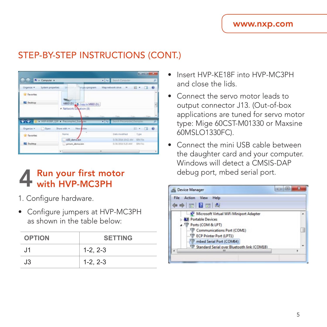#### STEP-BY-STEP INSTRUCTIONS (CONT.)

| L > Computer ><br>フェッカー    |                                                                   | v 4. Search Computer                     |                               | ø |
|----------------------------|-------------------------------------------------------------------|------------------------------------------|-------------------------------|---|
| Organize .                 | <b>UH</b> million<br>System properties<br>vrige a program.        | Mag network once<br>$-36$                | 超。<br>- 78                    |   |
| <b>R</b> Favortes          |                                                                   |                                          |                               |   |
|                            |                                                                   |                                          |                               |   |
|                            |                                                                   |                                          |                               |   |
| <b>FILE</b> Desktop        | MEED (D.) + Copy to MEED (D.)                                     |                                          |                               |   |
|                            | - Network Location (8)                                            |                                          |                               |   |
|                            | $\sim$                                                            | <b>COLLECTION</b><br><b>STATE</b>        |                               |   |
|                            | <b>Property of a state and state of the property and property</b> | <b>City</b> School County Administration |                               |   |
| O <sub>per</sub>           | Share with =<br>New Bilder                                        |                                          | $\mathbb{R}$ . $\mathbb{R}$ 0 |   |
| Organize =<br>St Favorites | Name                                                              | Data modified                            | Type                          |   |
|                            | LED demo.bin                                                      | 5/30/2014 10:02 AM BN File               |                               |   |

# 4 Run your first motor<br>with HVP-MC3PH

- 1. Configure hardware.
- Configure jumpers at HVP-MC3PH as shown in the table below:

| <b>OPTION</b> | <b>SETTING</b> |  |
|---------------|----------------|--|
| J1            | $1-2, 2-3$     |  |
| J3            | $1-2, 2-3$     |  |

- Insert HVP-KE18F into HVP-MC3PH and close the lids.
- Connect the servo motor leads to output connector J13. (Out-of-box applications are tuned for servo motor type: Mige 60CST-M01330 or Maxsine 60MSLO1330FC).
- Connect the mini USB cable between the daughter card and your computer. Windows will detect a CMSIS-DAP debug port, mbed serial port.

| Device Manager                                | $\overline{\mathbf{x}}$<br>பட |
|-----------------------------------------------|-------------------------------|
| View<br>File<br>Help<br>Action                |                               |
| $=$ $\frac{1}{2}$ $\frac{1}{2}$ $\frac{1}{2}$ |                               |
| Microsoft Virtual WiFi Miniport Adapter       |                               |
| <b>AT Portable Devices</b>                    |                               |
| <b>Ports (COM &amp; LPT)</b>                  |                               |
| Communications Port (COM1)                    |                               |
| P ECP Printer Port (LPT1)                     |                               |
| mbed Serial Port (COM64)                      |                               |
| Standard Serial over Bluetooth link (COM18)   |                               |
| ٠                                             |                               |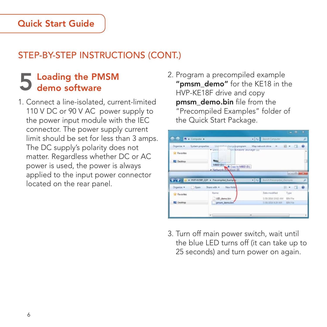### STEP-BY-STEP INSTRUCTIONS (CONT.)

# 5 Loading the PMSM<br>5 demo software

- 1. Connect a line-isolated, current-limited 110 V DC or 90 V AC power supply to the power input module with the IEC connector. The power supply current limit should be set for less than 3 amps. The DC supply's polarity does not matter. Regardless whether DC or AC power is used, the power is always applied to the input power connector located on the rear panel.
- 2. Program a precompiled example "pmsm\_demo" for the KE18 in the HVP-KE18F drive and copy pmsm\_demo.bin file from the "Precompiled Examples" folder of the Quick Start Package.



3. Turn off main power switch, wait until the blue LED turns off (it can take up to 25 seconds) and turn power on again.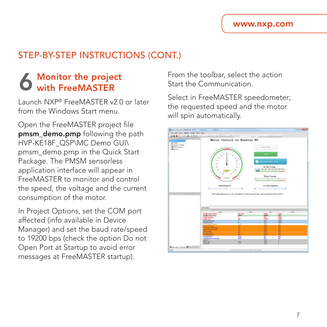#### STEP-BY-STEP INSTRUCTIONS (CONT.)

# **6** Monitor the project with FreeMASTER

Launch NXP® FreeMASTER v2.0 or later from the Windows Start menu.

Open the FreeMASTER project file pmsm\_demo.pmp following the path HVP-KE18F\_QSP\MC Demo GUI\ pmsm\_demo.pmp in the Quick Start Package. The PMSM sensorless application interface will appear in FreeMASTER to monitor and control the speed, the voltage and the current consumption of the motor.

In Project Options, set the COM port affected (info available in Device Manager) and set the baud rate/speed to 19200 bps (check the option Do not Open Port at Startup to avoid error messages at FreeMASTER startup).

From the toolbar, select the action Start the Communication.

Select in FreeMASTER speedometer; the requested speed and the motor will spin automatically.